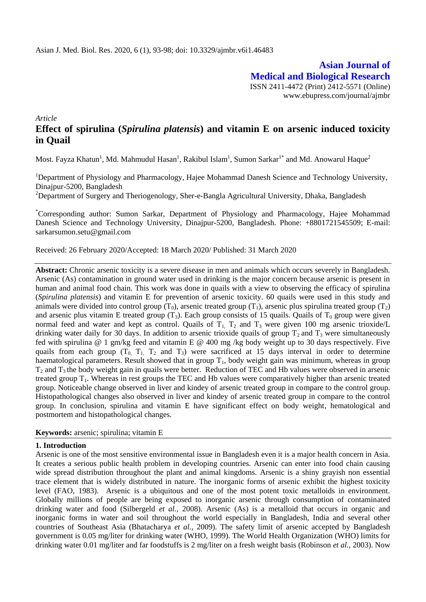**Asian Journal of Medical and Biological Research** ISSN 2411-4472 (Print) 2412-5571 (Online) www.ebupress.com/journal/ajmbr

*Article*

# **Effect of spirulina (***Spirulina platensis***) and vitamin E on arsenic induced toxicity in Quail**

Most. Fayza Khatun<sup>1</sup>, Md. Mahmudul Hasan<sup>1</sup>, Rakibul Islam<sup>1</sup>, Sumon Sarkar<sup>1\*</sup> and Md. Anowarul Haque<sup>2</sup>

<sup>1</sup>Department of Physiology and Pharmacology, Hajee Mohammad Danesh Science and Technology University, Dinajpur-5200, Bangladesh

<sup>2</sup>Department of Surgery and Theriogenology, Sher-e-Bangla Agricultural University, Dhaka, Bangladesh

\*Corresponding author: Sumon Sarkar, Department of Physiology and Pharmacology, Hajee Mohammad Danesh Science and Technology University, Dinajpur-5200, Bangladesh. Phone: +8801721545509; E-mail: [sarkarsumon.setu@gmail.com](mailto:sarkarsumon.setu@gmail.com)

Received: 26 February 2020/Accepted: 18 March 2020/ Published: 31 March 2020

**Abstract:** Chronic arsenic toxicity is a severe disease in men and animals which occurs severely in Bangladesh. Arsenic (As) contamination in ground water used in drinking is the major concern because arsenic is present in human and animal food chain. This work was done in quails with a view to observing the efficacy of spirulina (*Spirulina platensis*) and vitamin E for prevention of arsenic toxicity. 60 quails were used in this study and animals were divided into control group  $(T_0)$ , arsenic treated group  $(T_1)$ , arsenic plus spirulina treated group  $(T_2)$ and arsenic plus vitamin E treated group  $(T_3)$ . Each group consists of 15 quails. Quails of  $T_0$  group were given normal feed and water and kept as control. Quails of  $T_1$ ,  $T_2$  and  $T_3$  were given 100 mg arsenic trioxide/L drinking water daily for 30 days. In addition to arsenic trioxide quails of group  $T_2$  and  $T_3$  were simultaneously fed with spirulina @ 1 gm/kg feed and vitamin E @ 400 mg /kg body weight up to 30 days respectively. Five quails from each group  $(T_0, T_1, T_2, T_3)$  were sacrificed at 15 days interval in order to determine haematological parameters. Result showed that in group  $T_1$ , body weight gain was minimum, whereas in group  $T_2$  and  $T_3$  the body weight gain in quails were better. Reduction of TEC and Hb values were observed in arsenic treated group  $T_1$ . Whereas in rest groups the TEC and Hb values were comparatively higher than arsenic treated group. Noticeable change observed in liver and kindey of arsenic treated group in compare to the control group. Histopathological changes also observed in liver and kindey of arsenic treated group in compare to the control group. In conclusion, spirulina and vitamin E have significant effect on body weight, hematological and postmortem and histopathological changes.

#### **Keywords:** arsenic; spirulina; vitamin E

#### **1. Introduction**

Arsenic is one of the most sensitive environmental issue in Bangladesh even it is a major health concern in Asia. It creates a serious public health problem in developing countries. Arsenic can enter into food chain causing wide spread distribution throughout the plant and animal kingdoms. Arsenic is a shiny grayish non essential trace element that is widely distributed in nature. The inorganic forms of arsenic exhibit the highest toxicity level (FAO, 1983). Arsenic is a ubiquitous and one of the most potent toxic metalloids in environment. Globally millions of people are being exposed to inorganic arsenic through consumption of contaminated drinking water and food (Silbergeld *et al.,* 2008). Arsenic (As) is a metalloid that occurs in organic and inorganic forms in water and soil throughout the world especially in Bangladesh, India and several other countries of Southeast Asia (Bhatacharya *et al.,* 2009). The safety limit of arsenic accepted by Bangladesh government is 0.05 mg/liter for drinking water (WHO, 1999). The World Health Organization (WHO) limits for drinking water 0.01 mg/liter and far foodstuffs is 2 mg/liter on a fresh weight basis (Robinson *et al.,* 2003). Now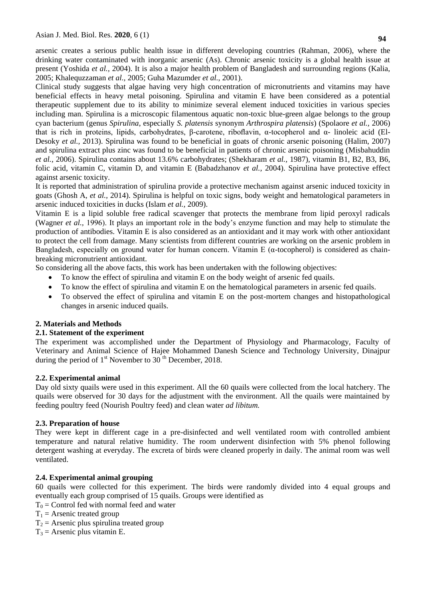arsenic creates a serious public health issue in different developing countries (Rahman, 2006), where the drinking water contaminated with inorganic arsenic (As). Chronic arsenic toxicity is a global health issue at present (Yoshida *et al.,* 2004). It is also a major health problem of Bangladesh and surrounding regions (Kalia, 2005; Khalequzzaman *et al.,* 2005; Guha Mazumder *et al.,* 2001).

Clinical study suggests that algae having very high concentration of micronutrients and vitamins may have beneficial effects in heavy metal poisoning. Spirulina and vitamin E have been considered as a potential therapeutic supplement due to its ability to minimize several element induced toxicities in various species including man. Spirulina is a microscopic filamentous aquatic non-toxic blue-green algae belongs to the group cyan bacterium (genus *Spirulina*, especially *S. platensis* synonym *Arthrospira platensis*) (Spolaore *et al.,* 2006) that is rich in proteins, lipids, carbohydrates, β-carotene, riboflavin, α-tocopherol and α- linoleic acid (El-Desoky *et al.,* 2013). Spirulina was found to be beneficial in goats of chronic arsenic poisoning (Halim, 2007) and spirulina extract plus zinc was found to be beneficial in patients of chronic arsenic poisoning (Misbahuddin *et al.,* 2006). Spirulina contains about 13.6% carbohydrates; (Shekharam *et al.,* 1987), vitamin B1, B2, B3, B6, [folic acid,](http://en.wikipedia.org/wiki/Folic_acid) [vitamin C,](http://en.wikipedia.org/wiki/Vitamin_C) [vitamin D,](http://en.wikipedia.org/wiki/Vitamin_D) and [vitamin E](http://en.wikipedia.org/wiki/Vitamin_E) (Babadzhanov *et al.,* 2004). Spirulina have protective effect against arsenic toxicity.

It is reported that administration of spirulina provide a protective mechanism against arsenic induced toxicity in goats (Ghosh A, *et al.,* 2014). Spirulina is helpful on toxic signs, body weight and hematological parameters in arsenic induced toxicities in ducks (Islam *et al.,* 2009).

Vitamin E is a lipid soluble free radical scavenger that protects the membrane from lipid peroxyl radicals (Wagner *et al.,* 1996). It plays an important role in the body's enzyme function and may help to stimulate the production of antibodies. Vitamin E is also considered as an antioxidant and it may work with other antioxidant to protect the cell from damage. Many scientists from different countries are working on the arsenic problem in Bangladesh, especially on ground water for human concern. Vitamin E ( $\alpha$ -tocopherol) is considered as chainbreaking micronutrient antioxidant.

So considering all the above facts, this work has been undertaken with the following objectives:

- To know the effect of spirulina and vitamin E on the body weight of arsenic fed quails.
- To know the effect of spirulina and vitamin E on the hematological parameters in arsenic fed quails.
- To observed the effect of spirulina and vitamin E on the post-mortem changes and histopathological changes in arsenic induced quails.

### **2. Materials and Methods**

### **2.1. Statement of the experiment**

The experiment was accomplished under the Department of Physiology and Pharmacology, Faculty of Veterinary and Animal Science of Hajee Mohammed Danesh Science and Technology University, Dinajpur during the period of  $1<sup>st</sup>$  November to 30<sup>th</sup> December, 2018.

### **2.2. Experimental animal**

Day old sixty quails were used in this experiment. All the 60 quails were collected from the local hatchery. The quails were observed for 30 days for the adjustment with the environment. All the quails were maintained by feeding poultry feed (Nourish Poultry feed) and clean water *ad libitum.*

# **2.3. Preparation of house**

They were kept in different cage in a pre-disinfected and well ventilated room with controlled ambient temperature and natural relative humidity. The room underwent disinfection with 5% phenol following detergent washing at everyday. The excreta of birds were cleaned properly in daily. The animal room was well ventilated.

### **2.4. Experimental animal grouping**

60 quails were collected for this experiment. The birds were randomly divided into 4 equal groups and eventually each group comprised of 15 quails. Groups were identified as

- $T_0$  = Control fed with normal feed and water
- $T_1$  = Arsenic treated group
- $T_2$  = Arsenic plus spirulina treated group
- $T_3$  = Arsenic plus vitamin E.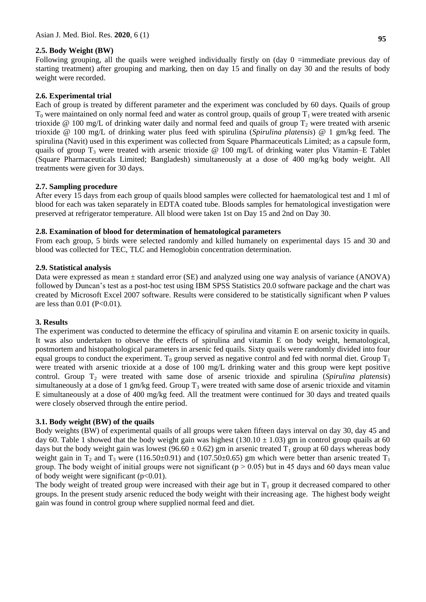# **2.5. Body Weight (BW)**

Following grouping, all the quails were weighed individually firstly on (day  $0 =$ immediate previous day of starting treatment) after grouping and marking, then on day 15 and finally on day 30 and the results of body weight were recorded.

# **2.6. Experimental trial**

Each of group is treated by different parameter and the experiment was concluded by 60 days. Quails of group  $T_0$  were maintained on only normal feed and water as control group, quails of group  $T_1$  were treated with arsenic trioxide @ 100 mg/L of drinking water daily and normal feed and quails of group  $T_2$  were treated with arsenic trioxide @ 100 mg/L of drinking water plus feed with spirulina (*Spirulina platensis*) @ 1 gm/kg feed. The spirulina (Navit) used in this experiment was collected from Square Pharmaceuticals Limited; as a capsule form, quails of group  $T_3$  were treated with arsenic trioxide @ 100 mg/L of drinking water plus Vitamin–E Tablet (Square Pharmaceuticals Limited; Bangladesh) simultaneously at a dose of 400 mg/kg body weight. All treatments were given for 30 days.

### **2.7. Sampling procedure**

After every 15 days from each group of quails blood samples were collected for haematological test and 1 ml of blood for each was taken separately in EDTA coated tube. Bloods samples for hematological investigation were preserved at refrigerator temperature. All blood were taken 1st on Day 15 and 2nd on Day 30.

### **2.8. Examination of blood for determination of hematological parameters**

From each group, 5 birds were selected randomly and killed humanely on experimental days 15 and 30 and blood was collected for TEC, TLC and Hemoglobin concentration determination.

### **2.9. Statistical analysis**

Data were expressed as mean  $\pm$  standard error (SE) and analyzed using one way analysis of variance (ANOVA) followed by Duncan's test as a post-hoc test using IBM SPSS Statistics 20.0 software package and the chart was created by Microsoft Excel 2007 software. Results were considered to be statistically significant when P values are less than  $0.01$  (P<0.01).

### **3. Results**

The experiment was conducted to determine the efficacy of spirulina and vitamin E on arsenic toxicity in quails. It was also undertaken to observe the effects of spirulina and vitamin E on body weight, hematological, postmortem and histopathological parameters in arsenic fed quails. Sixty quails were randomly divided into four equal groups to conduct the experiment. T<sub>0</sub> group served as negative control and fed with normal diet. Group  $T_1$ were treated with arsenic trioxide at a dose of 100 mg/L drinking water and this group were kept positive control. Group T<sup>2</sup> were treated with same dose of arsenic trioxide and spirulina (*Spirulina platensis*) simultaneously at a dose of 1 gm/kg feed. Group  $T_3$  were treated with same dose of arsenic trioxide and vitamin E simultaneously at a dose of 400 mg/kg feed. All the treatment were continued for 30 days and treated quails were closely observed through the entire period.

### **3.1. Body weight (BW) of the quails**

Body weights (BW) of experimental quails of all groups were taken fifteen days interval on day 30, day 45 and day 60. Table 1 showed that the body weight gain was highest (130.10  $\pm$  1.03) gm in control group quails at 60 days but the body weight gain was lowest (96.60  $\pm$  0.62) gm in arsenic treated T<sub>1</sub> group at 60 days whereas body weight gain in  $T_2$  and  $T_3$  were (116.50±0.91) and (107.50±0.65) gm which were better than arsenic treated  $T_1$ group. The body weight of initial groups were not significant ( $p > 0.05$ ) but in 45 days and 60 days mean value of body weight were significant  $(p<0.01)$ .

The body weight of treated group were increased with their age but in  $T_1$  group it decreased compared to other groups. In the present study arsenic reduced the body weight with their increasing age. The highest body weight gain was found in control group where supplied normal feed and diet.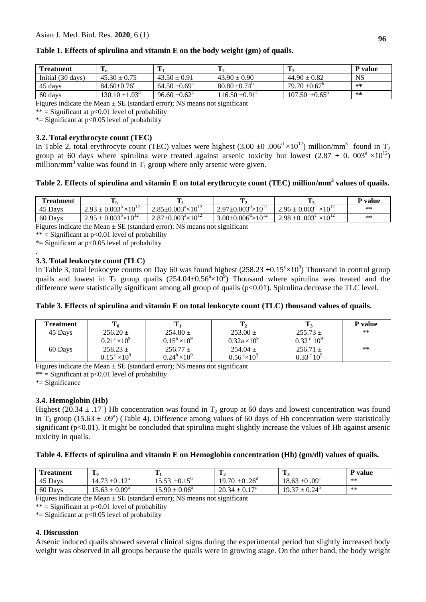| <b>Treatment</b>  | m<br>-π                   |                          | $\mathbf{T}_2$           |                               | <b>P</b> value |
|-------------------|---------------------------|--------------------------|--------------------------|-------------------------------|----------------|
| Initial (30 days) | $45.30 \pm 0.75$          | $43.50 \pm 0.91$         | $43.90 \pm 0.90$         | $44.90 \pm 0.82$              | NS             |
| 45 days           | $84.60 \pm 0.76$ °        | $64.50 \pm 0.69^{\circ}$ | $80.80 \pm 0.74^{\circ}$ | $79.70 \pm 0.67$ <sup>b</sup> | $***$          |
| 60 days           | $130.10 \pm 1.03^{\circ}$ | $96.60 \pm 0.62^{\circ}$ | $16.50 \pm 0.91^{\circ}$ | $107.50 \pm 0.65^{\circ}$     | $***$          |

# **Table 1. Effects of spirulina and vitamin E on the body weight (gm) of quails.**

Figures indicate the Mean  $\pm$  SE (standard error); NS means not significant

\*\* = Significant at  $p<0.01$  level of probability

\*= Significant at  $p<0.05$  level of probability

# **3.2. Total erythrocyte count (TEC)**

In Table 2, total erythrocyte count (TEC) values were highest (3.00  $\pm$ 0 .006<sup>d</sup> ×10<sup>12</sup>) million/mm<sup>3</sup> found in T<sub>2</sub> group at 60 days where spirulina were treated against arsenic toxicity but lowest (2.87  $\pm$  0.003<sup>a</sup> ×10<sup>12</sup>) million/mm<sup>3</sup> value was found in  $T_1$  group where only arsenic were given.

# **Table 2. Effects of spirulina and vitamin E on total erythrocyte count (TEC) million/mm<sup>3</sup> values of quails.**

| <b>Treatment</b> | . F                                     |                                         |                                         |                                         | P value |
|------------------|-----------------------------------------|-----------------------------------------|-----------------------------------------|-----------------------------------------|---------|
| 45 Days          | $2.93 \pm 0.003^{\circ} \times 10^{12}$ | $2.85 \pm 0.003^{\circ} \times 10^{12}$ | $2.97 \pm 0.003^{\circ} \times 10^{12}$ | $2.96 \pm 0.003^{\circ} \times 10^{12}$ | $**$    |
| 60 Davs          | $2.95 \pm 0.003^{\circ} \times 10^{12}$ | $2.87 \pm 0.003^{\circ} \times 10^{12}$ | $3.00 \pm 0.006^{\circ} \times 10^{12}$ | $2.98 \pm 0.003$ ° ×10 <sup>12</sup>    | $**$    |
| $\sim$           |                                         | $\mathbf{r}$                            | $\sim$ $\sim$                           |                                         |         |

Figures indicate the Mean  $\pm$  SE (standard error); NS means not significant

\*\* = Significant at  $p<0.01$  level of probability

\*= Significant at  $p<0.05$  level of probability

#### . **3.3. Total leukocyte count (TLC)**

In Table 3, total leukocyte counts on Day 60 was found highest  $(258.23 \pm 0.15^{\circ} \times 10^9)$  Thousand in control group quails and lowest in  $T_2$  group quails  $(254.04 \pm 0.56^{\circ} \times 10^9)$  Thousand where spirulina was treated and the difference were statistically significant among all group of quails (p<0.01). Spirulina decrease the TLC level.

### **Table 3. Effects of spirulina and vitamin E on total leukocyte count (TLC) thousand values of quails.**

| <b>Treatment</b> |                              |                      |                          |                      | <b>P</b> value |
|------------------|------------------------------|----------------------|--------------------------|----------------------|----------------|
| 45 Days          | $256.20 \pm$                 | $254.80 +$           | $253.00 \pm$             | $255.73 +$           | $***$          |
|                  | $0.21^{\circ} \times 10^{9}$ | $0.15^b \times 10^9$ | $0.32a \times 10^{9}$    | $0.32^{\circ} 10^9$  |                |
| 60 Days          | $258.23 \pm$                 | $256.77 \pm$         | $254.04 \pm$             | $256.71 +$           | $***$          |
|                  | $0.15^{\circ} \times 10^{9}$ | $0.24^b \times 10^9$ | $0.56^{a} \times 10^{9}$ | $0.33^{\circ}10^{9}$ |                |

Figures indicate the Mean  $\pm$  SE (standard error); NS means not significant

\*\* = Significant at  $p<0.01$  level of probability

\*= Significance

### **3.4. Hemoglobin (Hb)**

Highest (20.34  $\pm$  .17°) Hb concentration was found in T<sub>2</sub> group at 60 days and lowest concentration was found in T<sub>0</sub> group (15.63  $\pm$  .09<sup>a</sup>) (Table 4). Difference among values of 60 days of Hb concentration were statistically significant ( $p<0.01$ ). It might be concluded that spirulina might slightly increase the values of Hb against arsenic toxicity in quails.

### **Table 4. Effects of spirulina and vitamin E on Hemoglobin concentration (Hb) (gm/dl) values of quails.**

| <b>Treatment</b> | m<br>10                         |                                    | -42                                | т                             | P value |
|------------------|---------------------------------|------------------------------------|------------------------------------|-------------------------------|---------|
| 45 Days          | $1\sqrt{a}$<br>14.73<br>$\pm 0$ | $\pm 0.15^{\circ}$<br>553<br>19.JJ | 19.70<br>$t \pm 0.26$ <sup>a</sup> | $18.63 \pm 0.09$ <sup>c</sup> | **      |
| 60 Days          | $15.63 \pm 0.09^a$              | $15.90 \pm 0.06^a$                 | $20.34 \pm 0.17^{\circ}$           | $19.37 \pm 0.24^{\circ}$      | **      |

Figures indicate the Mean  $\pm$  SE (standard error); NS means not significant

 $**$  = Significant at p<0.01 level of probability

\*= Significant at  $p<0.05$  level of probability

### **4. Discussion**

Arsenic induced quails showed several clinical signs during the experimental period but slightly increased body weight was observed in all groups because the quails were in growing stage. On the other hand, the body weight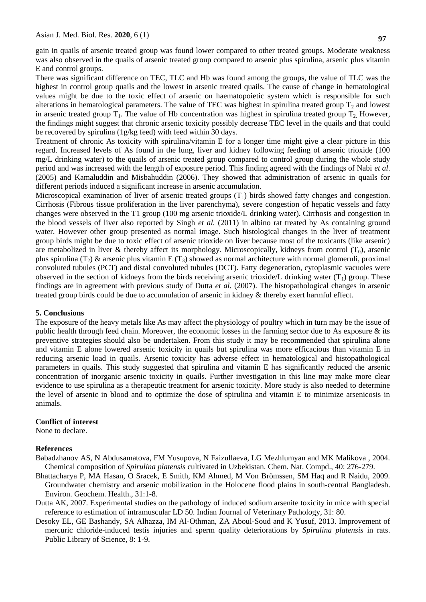gain in quails of arsenic treated group was found lower compared to other treated groups. Moderate weakness was also observed in the quails of arsenic treated group compared to arsenic plus spirulina, arsenic plus vitamin E and control groups.

There was significant difference on TEC, TLC and Hb was found among the groups, the value of TLC was the highest in control group quails and the lowest in arsenic treated quails. The cause of change in hematological values might be due to the toxic effect of arsenic on haematopoietic system which is responsible for such alterations in hematological parameters. The value of TEC was highest in spirulina treated group  $T_2$  and lowest in arsenic treated group  $T_1$ . The value of Hb concentration was highest in spirulina treated group  $T_2$ . However, the findings might suggest that chronic arsenic toxicity possibly decrease TEC level in the quails and that could be recovered by spirulina (1g/kg feed) with feed within 30 days.

Treatment of chronic As toxicity with spirulina/vitamin E for a longer time might give a clear picture in this regard. Increased levels of As found in the lung, liver and kidney following feeding of arsenic trioxide (100 mg/L drinking water) to the quails of arsenic treated group compared to control group during the whole study period and was increased with the length of exposure period. This finding agreed with the findings of Nabi *et al*. (2005) and Kamaluddin and Misbahuddin (2006). They showed that administration of arsenic in quails for different periods induced a significant increase in arsenic accumulation.

Microscopical examination of liver of arsenic treated groups  $(T<sub>1</sub>)$  birds showed fatty changes and congestion. Cirrhosis (Fibrous tissue proliferation in the liver parenchyma), severe congestion of hepatic vessels and fatty changes were observed in the T1 group (100 mg arsenic trioxide/L drinking water). Cirrhosis and congestion in the blood vessels of liver also reported by Singh *et al.* (2011) in albino rat treated by As containing ground water. However other group presented as normal image. Such histological changes in the liver of treatment group birds might be due to toxic effect of arsenic trioxide on liver because most of the toxicants (like arsenic) are metabolized in liver & thereby affect its morphology. Microscopically, kidneys from control  $(T_0)$ , arsenic plus spirulina (T<sub>2</sub>) & arsenic plus vitamin E (T<sub>3</sub>) showed as normal architecture with normal glomeruli, proximal convoluted tubules (PCT) and distal convoluted tubules (DCT). Fatty degeneration, cytoplasmic vacuoles were observed in the section of kidneys from the birds receiving arsenic trioxide/L drinking water  $(T_1)$  group. These findings are in agreement with previous study of Dutta *et al.* (2007). The histopathological changes in arsenic treated group birds could be due to accumulation of arsenic in kidney & thereby exert harmful effect.

#### **5. Conclusions**

The exposure of the heavy metals like As may affect the physiology of poultry which in turn may be the issue of public health through feed chain. Moreover, the economic losses in the farming sector due to As exposure & its preventive strategies should also be undertaken. From this study it may be recommended that spirulina alone and vitamin E alone lowered arsenic toxicity in quails but spirulina was more efficacious than vitamin E in reducing arsenic load in quails. Arsenic toxicity has adverse effect in hematological and histopathological parameters in quails. This study suggested that spirulina and vitamin E has significantly reduced the arsenic concentration of inorganic arsenic toxicity in quails. Further investigation in this line may make more clear evidence to use spirulina as a therapeutic treatment for arsenic toxicity. More study is also needed to determine the level of arsenic in blood and to optimize the dose of spirulina and vitamin E to minimize arsenicosis in animals.

#### **Conflict of interest**

None to declare.

#### **References**

- Babadzhanov AS, N Abdusamatova, FM Yusupova, N Faizullaeva, LG Mezhlumyan and MK Malikova , 2004. Chemical composition of *Spirulina platensis* cultivated in Uzbekistan. Chem. Nat. Compd., 40: 276-279.
- Bhattacharya P, MA Hasan, O Sracek, E Smith, KM Ahmed, M Von Brömssen, SM Haq and R Naidu, 2009. Groundwater chemistry and arsenic mobilization in the Holocene flood plains in south-central Bangladesh. Environ. Geochem. Health., 31:1-8.
- Dutta AK, 2007. Experimental studies on the pathology of induced sodium arsenite toxicity in mice with special reference to estimation of intramuscular LD 50. Indian Journal of Veterinary Pathology, 31: 80.
- Desoky EL, GE Bashandy, SA Alhazza, IM Al-Othman, ZA Aboul-Soud and K Yusuf, 2013. Improvement of mercuric chloride-induced testis injuries and sperm quality deteriorations by *Spirulina platensis* in rats. Public Library of Science, 8: 1-9.